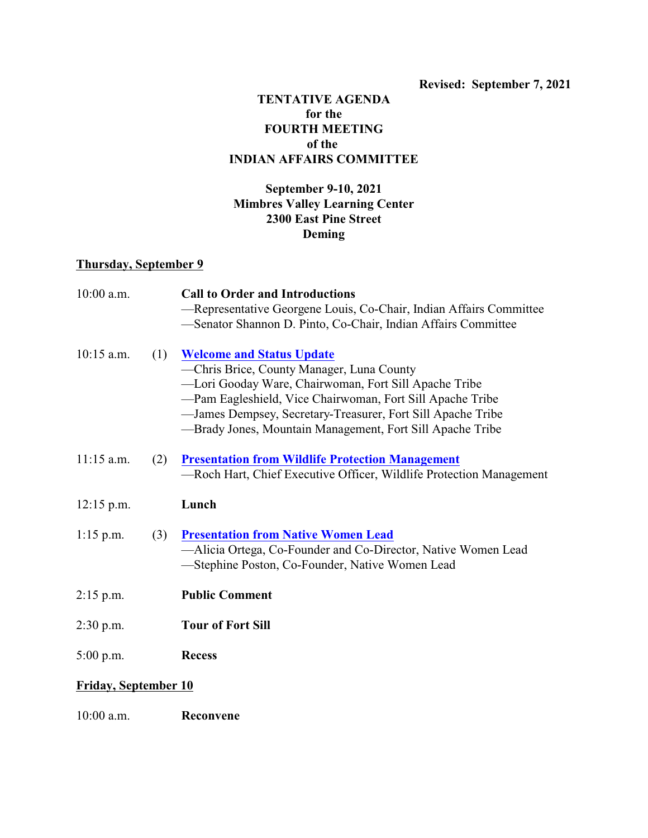## **TENTATIVE AGENDA for the FOURTH MEETING of the INDIAN AFFAIRS COMMITTEE**

## **September 9-10, 2021 Mimbres Valley Learning Center 2300 East Pine Street Deming**

## **Thursday, September 9**

| $10:00$ a.m. |     | <b>Call to Order and Introductions</b>                                                                           |
|--------------|-----|------------------------------------------------------------------------------------------------------------------|
|              |     | -Representative Georgene Louis, Co-Chair, Indian Affairs Committee                                               |
|              |     | -Senator Shannon D. Pinto, Co-Chair, Indian Affairs Committee                                                    |
| $10:15$ a.m. | (1) | <b>Welcome and Status Update</b>                                                                                 |
|              |     | -Chris Brice, County Manager, Luna County                                                                        |
|              |     | -Lori Gooday Ware, Chairwoman, Fort Sill Apache Tribe                                                            |
|              |     | -Pam Eagleshield, Vice Chairwoman, Fort Sill Apache Tribe                                                        |
|              |     | -James Dempsey, Secretary-Treasurer, Fort Sill Apache Tribe                                                      |
|              |     | —Brady Jones, Mountain Management, Fort Sill Apache Tribe                                                        |
| $11:15$ a.m. | (2) | <b>Presentation from Wildlife Protection Management</b>                                                          |
|              |     | -Roch Hart, Chief Executive Officer, Wildlife Protection Management                                              |
| $12:15$ p.m. |     | Lunch                                                                                                            |
| $1:15$ p.m.  | (3) | <b>Presentation from Native Women Lead</b>                                                                       |
|              |     | -Alicia Ortega, Co-Founder and Co-Director, Native Women Lead<br>-Stephine Poston, Co-Founder, Native Women Lead |
| $2:15$ p.m.  |     | <b>Public Comment</b>                                                                                            |
| $2:30$ p.m.  |     | <b>Tour of Fort Sill</b>                                                                                         |
| $5:00$ p.m.  |     | <b>Recess</b>                                                                                                    |
|              |     |                                                                                                                  |

## **Friday, September 10**

10:00 a.m. **Reconvene**